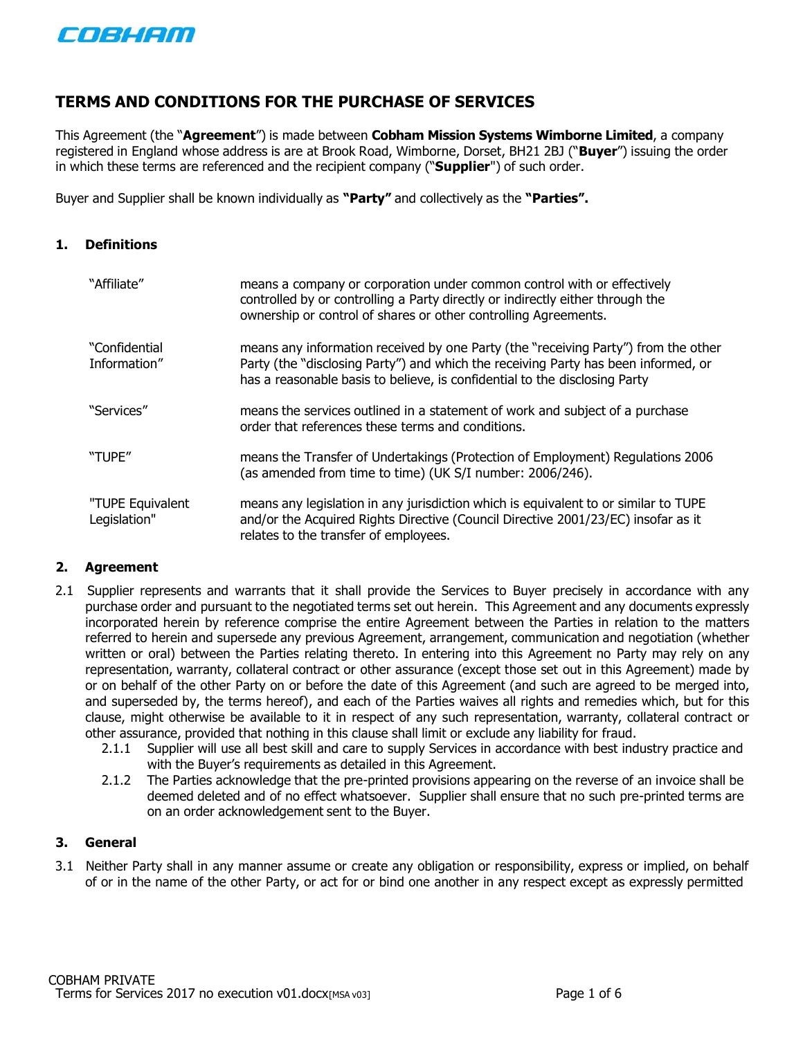

# **TERMS AND CONDITIONS FOR THE PURCHASE OF SERVICES**

This Agreement (the "**Agreement**") is made between **Cobham Mission Systems Wimborne Limited**, a company registered in England whose address is are at Brook Road, Wimborne, Dorset, BH21 2BJ ("**Buyer**") issuing the order in which these terms are referenced and the recipient company ("**Supplier**") of such order.

Buyer and Supplier shall be known individually as **"Party"** and collectively as the **"Parties".**

#### **1. Definitions**

| "Affiliate"                      | means a company or corporation under common control with or effectively<br>controlled by or controlling a Party directly or indirectly either through the<br>ownership or control of shares or other controlling Agreements.                           |
|----------------------------------|--------------------------------------------------------------------------------------------------------------------------------------------------------------------------------------------------------------------------------------------------------|
| "Confidential<br>Information"    | means any information received by one Party (the "receiving Party") from the other<br>Party (the "disclosing Party") and which the receiving Party has been informed, or<br>has a reasonable basis to believe, is confidential to the disclosing Party |
| "Services"                       | means the services outlined in a statement of work and subject of a purchase<br>order that references these terms and conditions.                                                                                                                      |
| "TUPE"                           | means the Transfer of Undertakings (Protection of Employment) Regulations 2006<br>(as amended from time to time) (UK S/I number: 2006/246).                                                                                                            |
| "TUPE Equivalent<br>Legislation" | means any legislation in any jurisdiction which is equivalent to or similar to TUPE<br>and/or the Acquired Rights Directive (Council Directive 2001/23/EC) insofar as it<br>relates to the transfer of employees.                                      |

#### **2. Agreement**

- 2.1 Supplier represents and warrants that it shall provide the Services to Buyer precisely in accordance with any purchase order and pursuant to the negotiated terms set out herein. This Agreement and any documents expressly incorporated herein by reference comprise the entire Agreement between the Parties in relation to the matters referred to herein and supersede any previous Agreement, arrangement, communication and negotiation (whether written or oral) between the Parties relating thereto. In entering into this Agreement no Party may rely on any representation, warranty, collateral contract or other assurance (except those set out in this Agreement) made by or on behalf of the other Party on or before the date of this Agreement (and such are agreed to be merged into, and superseded by, the terms hereof), and each of the Parties waives all rights and remedies which, but for this clause, might otherwise be available to it in respect of any such representation, warranty, collateral contract or other assurance, provided that nothing in this clause shall limit or exclude any liability for fraud.
	- 2.1.1 Supplier will use all best skill and care to supply Services in accordance with best industry practice and with the Buyer's requirements as detailed in this Agreement.
	- 2.1.2 The Parties acknowledge that the pre-printed provisions appearing on the reverse of an invoice shall be deemed deleted and of no effect whatsoever. Supplier shall ensure that no such pre-printed terms are on an order acknowledgement sent to the Buyer.

### **3. General**

3.1 Neither Party shall in any manner assume or create any obligation or responsibility, express or implied, on behalf of or in the name of the other Party, or act for or bind one another in any respect except as expressly permitted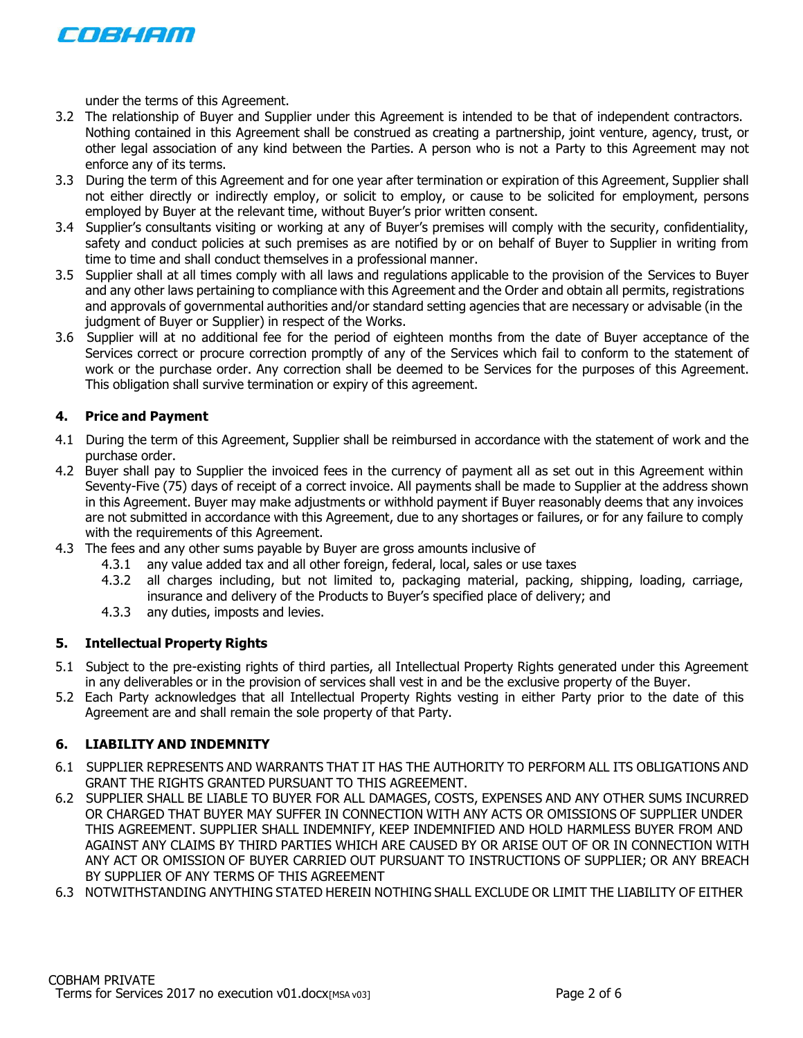

under the terms of this Agreement.

- 3.2 The relationship of Buyer and Supplier under this Agreement is intended to be that of independent contractors. Nothing contained in this Agreement shall be construed as creating a partnership, joint venture, agency, trust, or other legal association of any kind between the Parties. A person who is not a Party to this Agreement may not enforce any of its terms.
- 3.3 During the term of this Agreement and for one year after termination or expiration of this Agreement, Supplier shall not either directly or indirectly employ, or solicit to employ, or cause to be solicited for employment, persons employed by Buyer at the relevant time, without Buyer's prior written consent.
- 3.4 Supplier's consultants visiting or working at any of Buyer's premises will comply with the security, confidentiality, safety and conduct policies at such premises as are notified by or on behalf of Buyer to Supplier in writing from time to time and shall conduct themselves in a professional manner.
- 3.5 Supplier shall at all times comply with all laws and regulations applicable to the provision of the Services to Buyer and any other laws pertaining to compliance with this Agreement and the Order and obtain all permits, registrations and approvals of governmental authorities and/or standard setting agencies that are necessary or advisable (in the judgment of Buyer or Supplier) in respect of the Works.
- 3.6 Supplier will at no additional fee for the period of eighteen months from the date of Buyer acceptance of the Services correct or procure correction promptly of any of the Services which fail to conform to the statement of work or the purchase order. Any correction shall be deemed to be Services for the purposes of this Agreement. This obligation shall survive termination or expiry of this agreement.

#### **4. Price and Payment**

- 4.1 During the term of this Agreement, Supplier shall be reimbursed in accordance with the statement of work and the purchase order.
- 4.2 Buyer shall pay to Supplier the invoiced fees in the currency of payment all as set out in this Agreement within Seventy-Five (75) days of receipt of a correct invoice. All payments shall be made to Supplier at the address shown in this Agreement. Buyer may make adjustments or withhold payment if Buyer reasonably deems that any invoices are not submitted in accordance with this Agreement, due to any shortages or failures, or for any failure to comply with the requirements of this Agreement.
- 4.3 The fees and any other sums payable by Buyer are gross amounts inclusive of
	- 4.3.1 any value added tax and all other foreign, federal, local, sales or use taxes
	- 4.3.2 all charges including, but not limited to, packaging material, packing, shipping, loading, carriage, insurance and delivery of the Products to Buyer's specified place of delivery; and
	- 4.3.3 any duties, imposts and levies.

#### **5. Intellectual Property Rights**

- 5.1 Subject to the pre-existing rights of third parties, all Intellectual Property Rights generated under this Agreement in any deliverables or in the provision of services shall vest in and be the exclusive property of the Buyer.
- 5.2 Each Party acknowledges that all Intellectual Property Rights vesting in either Party prior to the date of this Agreement are and shall remain the sole property of that Party.

#### **6. LIABILITY AND INDEMNITY**

- 6.1 SUPPLIER REPRESENTS AND WARRANTS THAT IT HAS THE AUTHORITY TO PERFORM ALL ITS OBLIGATIONS AND GRANT THE RIGHTS GRANTED PURSUANT TO THIS AGREEMENT.
- 6.2 SUPPLIER SHALL BE LIABLE TO BUYER FOR ALL DAMAGES, COSTS, EXPENSES AND ANY OTHER SUMS INCURRED OR CHARGED THAT BUYER MAY SUFFER IN CONNECTION WITH ANY ACTS OR OMISSIONS OF SUPPLIER UNDER THIS AGREEMENT. SUPPLIER SHALL INDEMNIFY, KEEP INDEMNIFIED AND HOLD HARMLESS BUYER FROM AND AGAINST ANY CLAIMS BY THIRD PARTIES WHICH ARE CAUSED BY OR ARISE OUT OF OR IN CONNECTION WITH ANY ACT OR OMISSION OF BUYER CARRIED OUT PURSUANT TO INSTRUCTIONS OF SUPPLIER; OR ANY BREACH BY SUPPLIER OF ANY TERMS OF THIS AGREEMENT
- 6.3 NOTWITHSTANDING ANYTHING STATED HEREIN NOTHING SHALL EXCLUDE OR LIMIT THE LIABILITY OF EITHER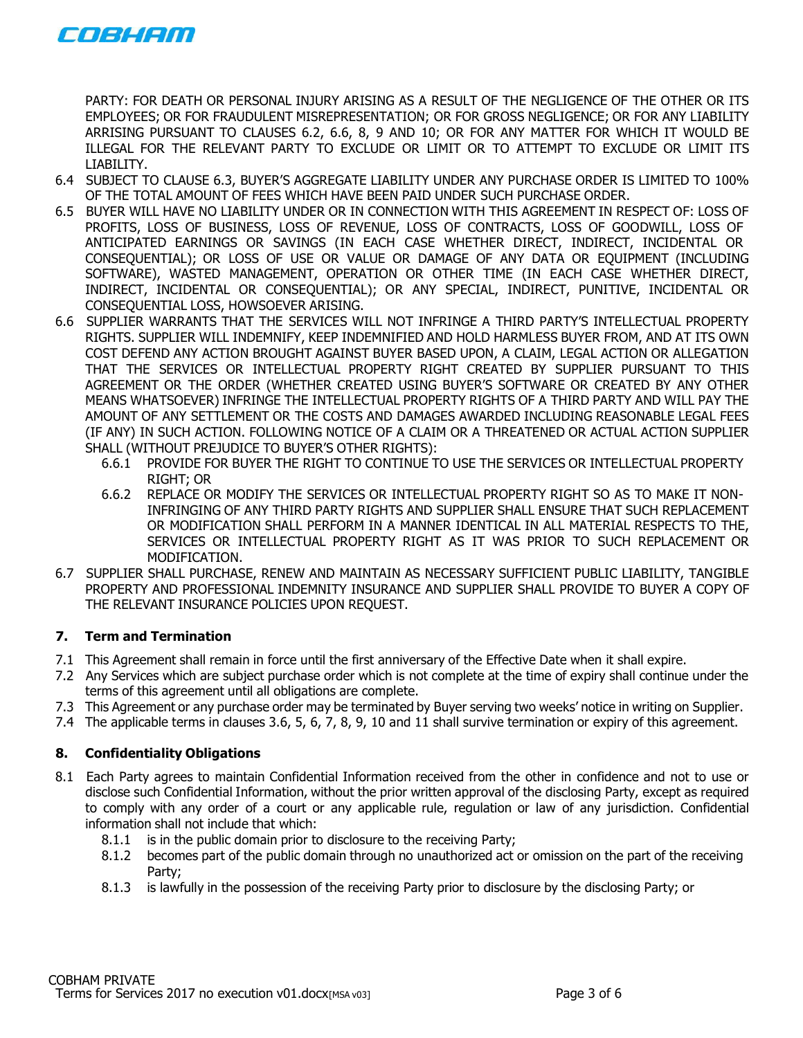

PARTY: FOR DEATH OR PERSONAL INJURY ARISING AS A RESULT OF THE NEGLIGENCE OF THE OTHER OR ITS EMPLOYEES; OR FOR FRAUDULENT MISREPRESENTATION; OR FOR GROSS NEGLIGENCE; OR FOR ANY LIABILITY ARRISING PURSUANT TO CLAUSES 6.2, 6.6, 8, 9 AND 10; OR FOR ANY MATTER FOR WHICH IT WOULD BE ILLEGAL FOR THE RELEVANT PARTY TO EXCLUDE OR LIMIT OR TO ATTEMPT TO EXCLUDE OR LIMIT ITS LIABILITY.

- 6.4 SUBJECT TO CLAUSE 6.3, BUYER'S AGGREGATE LIABILITY UNDER ANY PURCHASE ORDER IS LIMITED TO 100% OF THE TOTAL AMOUNT OF FEES WHICH HAVE BEEN PAID UNDER SUCH PURCHASE ORDER.
- 6.5 BUYER WILL HAVE NO LIABILITY UNDER OR IN CONNECTION WITH THIS AGREEMENT IN RESPECT OF: LOSS OF PROFITS, LOSS OF BUSINESS, LOSS OF REVENUE, LOSS OF CONTRACTS, LOSS OF GOODWILL, LOSS OF ANTICIPATED EARNINGS OR SAVINGS (IN EACH CASE WHETHER DIRECT, INDIRECT, INCIDENTAL OR CONSEQUENTIAL); OR LOSS OF USE OR VALUE OR DAMAGE OF ANY DATA OR EQUIPMENT (INCLUDING SOFTWARE), WASTED MANAGEMENT, OPERATION OR OTHER TIME (IN EACH CASE WHETHER DIRECT, INDIRECT, INCIDENTAL OR CONSEQUENTIAL); OR ANY SPECIAL, INDIRECT, PUNITIVE, INCIDENTAL OR CONSEQUENTIAL LOSS, HOWSOEVER ARISING.
- 6.6 SUPPLIER WARRANTS THAT THE SERVICES WILL NOT INFRINGE A THIRD PARTY'S INTELLECTUAL PROPERTY RIGHTS. SUPPLIER WILL INDEMNIFY, KEEP INDEMNIFIED AND HOLD HARMLESS BUYER FROM, AND AT ITS OWN COST DEFEND ANY ACTION BROUGHT AGAINST BUYER BASED UPON, A CLAIM, LEGAL ACTION OR ALLEGATION THAT THE SERVICES OR INTELLECTUAL PROPERTY RIGHT CREATED BY SUPPLIER PURSUANT TO THIS AGREEMENT OR THE ORDER (WHETHER CREATED USING BUYER'S SOFTWARE OR CREATED BY ANY OTHER MEANS WHATSOEVER) INFRINGE THE INTELLECTUAL PROPERTY RIGHTS OF A THIRD PARTY AND WILL PAY THE AMOUNT OF ANY SETTLEMENT OR THE COSTS AND DAMAGES AWARDED INCLUDING REASONABLE LEGAL FEES (IF ANY) IN SUCH ACTION. FOLLOWING NOTICE OF A CLAIM OR A THREATENED OR ACTUAL ACTION SUPPLIER SHALL (WITHOUT PREJUDICE TO BUYER'S OTHER RIGHTS):
	- 6.6.1 PROVIDE FOR BUYER THE RIGHT TO CONTINUE TO USE THE SERVICES OR INTELLECTUAL PROPERTY RIGHT; OR
	- 6.6.2 REPLACE OR MODIFY THE SERVICES OR INTELLECTUAL PROPERTY RIGHT SO AS TO MAKE IT NON-INFRINGING OF ANY THIRD PARTY RIGHTS AND SUPPLIER SHALL ENSURE THAT SUCH REPLACEMENT OR MODIFICATION SHALL PERFORM IN A MANNER IDENTICAL IN ALL MATERIAL RESPECTS TO THE, SERVICES OR INTELLECTUAL PROPERTY RIGHT AS IT WAS PRIOR TO SUCH REPLACEMENT OR MODIFICATION.
- 6.7 SUPPLIER SHALL PURCHASE, RENEW AND MAINTAIN AS NECESSARY SUFFICIENT PUBLIC LIABILITY, TANGIBLE PROPERTY AND PROFESSIONAL INDEMNITY INSURANCE AND SUPPLIER SHALL PROVIDE TO BUYER A COPY OF THE RELEVANT INSURANCE POLICIES UPON REQUEST.

# **7. Term and Termination**

- 7.1 This Agreement shall remain in force until the first anniversary of the Effective Date when it shall expire.
- 7.2 Any Services which are subject purchase order which is not complete at the time of expiry shall continue under the terms of this agreement until all obligations are complete.
- 7.3 This Agreement or any purchase order may be terminated by Buyer serving two weeks' notice in writing on Supplier.
- 7.4 The applicable terms in clauses 3.6, 5, 6, 7, 8, 9, 10 and 11 shall survive termination or expiry of this agreement.

# **8. Confidentiality Obligations**

- 8.1 Each Party agrees to maintain Confidential Information received from the other in confidence and not to use or disclose such Confidential Information, without the prior written approval of the disclosing Party, except as required to comply with any order of a court or any applicable rule, regulation or law of any jurisdiction. Confidential information shall not include that which:
	- 8.1.1 is in the public domain prior to disclosure to the receiving Party;
	- 8.1.2 becomes part of the public domain through no unauthorized act or omission on the part of the receiving Party;
	- 8.1.3 is lawfully in the possession of the receiving Party prior to disclosure by the disclosing Party; or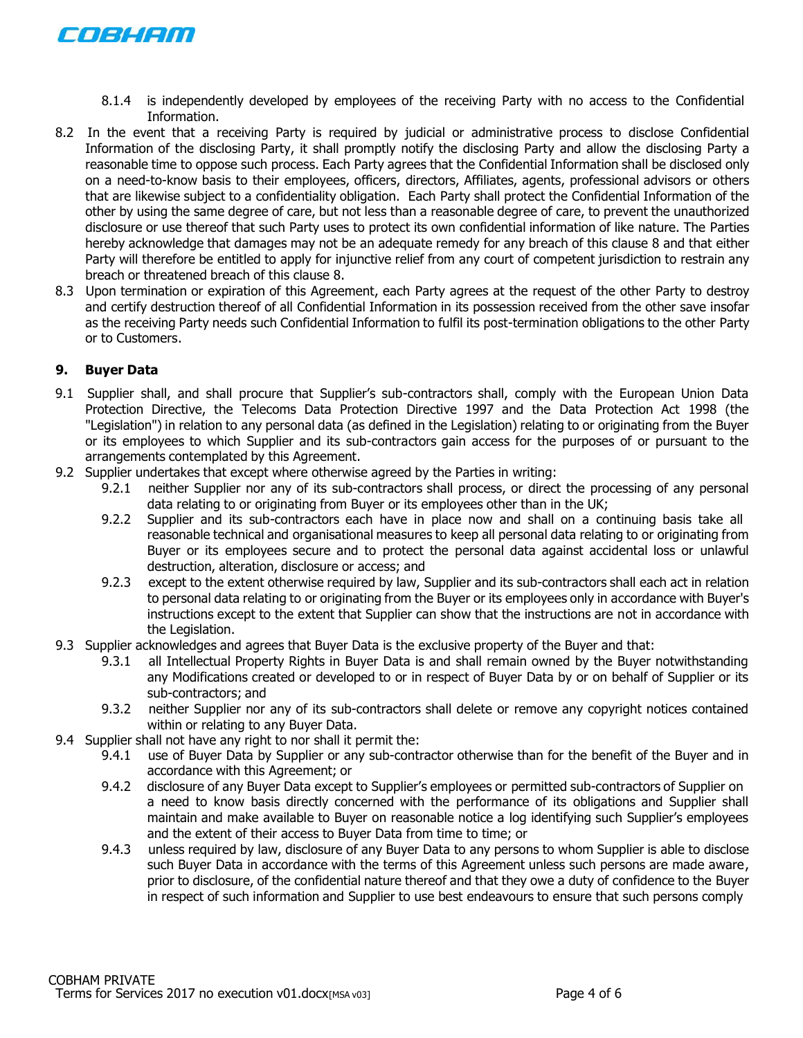

- 8.1.4 is independently developed by employees of the receiving Party with no access to the Confidential Information.
- 8.2 In the event that a receiving Party is required by judicial or administrative process to disclose Confidential Information of the disclosing Party, it shall promptly notify the disclosing Party and allow the disclosing Party a reasonable time to oppose such process. Each Party agrees that the Confidential Information shall be disclosed only on a need-to-know basis to their employees, officers, directors, Affiliates, agents, professional advisors or others that are likewise subject to a confidentiality obligation. Each Party shall protect the Confidential Information of the other by using the same degree of care, but not less than a reasonable degree of care, to prevent the unauthorized disclosure or use thereof that such Party uses to protect its own confidential information of like nature. The Parties hereby acknowledge that damages may not be an adequate remedy for any breach of this clause 8 and that either Party will therefore be entitled to apply for injunctive relief from any court of competent jurisdiction to restrain any breach or threatened breach of this clause 8.
- 8.3 Upon termination or expiration of this Agreement, each Party agrees at the request of the other Party to destroy and certify destruction thereof of all Confidential Information in its possession received from the other save insofar as the receiving Party needs such Confidential Information to fulfil its post-termination obligations to the other Party or to Customers.

#### **9. Buyer Data**

- 9.1 Supplier shall, and shall procure that Supplier's sub-contractors shall, comply with the European Union Data Protection Directive, the Telecoms Data Protection Directive 1997 and the Data Protection Act 1998 (the "Legislation") in relation to any personal data (as defined in the Legislation) relating to or originating from the Buyer or its employees to which Supplier and its sub-contractors gain access for the purposes of or pursuant to the arrangements contemplated by this Agreement.
- 9.2 Supplier undertakes that except where otherwise agreed by the Parties in writing:
	- 9.2.1 neither Supplier nor any of its sub-contractors shall process, or direct the processing of any personal data relating to or originating from Buyer or its employees other than in the UK;
	- 9.2.2 Supplier and its sub-contractors each have in place now and shall on a continuing basis take all reasonable technical and organisational measures to keep all personal data relating to or originating from Buyer or its employees secure and to protect the personal data against accidental loss or unlawful destruction, alteration, disclosure or access; and
	- 9.2.3 except to the extent otherwise required by law, Supplier and its sub-contractors shall each act in relation to personal data relating to or originating from the Buyer or its employees only in accordance with Buyer's instructions except to the extent that Supplier can show that the instructions are not in accordance with the Legislation.
- 9.3 Supplier acknowledges and agrees that Buyer Data is the exclusive property of the Buyer and that:
	- 9.3.1 all Intellectual Property Rights in Buyer Data is and shall remain owned by the Buyer notwithstanding any Modifications created or developed to or in respect of Buyer Data by or on behalf of Supplier or its sub-contractors; and
	- 9.3.2 neither Supplier nor any of its sub-contractors shall delete or remove any copyright notices contained within or relating to any Buyer Data.
- 9.4 Supplier shall not have any right to nor shall it permit the:
	- 9.4.1 use of Buyer Data by Supplier or any sub-contractor otherwise than for the benefit of the Buyer and in accordance with this Agreement; or
	- 9.4.2 disclosure of any Buyer Data except to Supplier's employees or permitted sub-contractors of Supplier on a need to know basis directly concerned with the performance of its obligations and Supplier shall maintain and make available to Buyer on reasonable notice a log identifying such Supplier's employees and the extent of their access to Buyer Data from time to time; or
	- 9.4.3 unless required by law, disclosure of any Buyer Data to any persons to whom Supplier is able to disclose such Buyer Data in accordance with the terms of this Agreement unless such persons are made aware, prior to disclosure, of the confidential nature thereof and that they owe a duty of confidence to the Buyer in respect of such information and Supplier to use best endeavours to ensure that such persons comply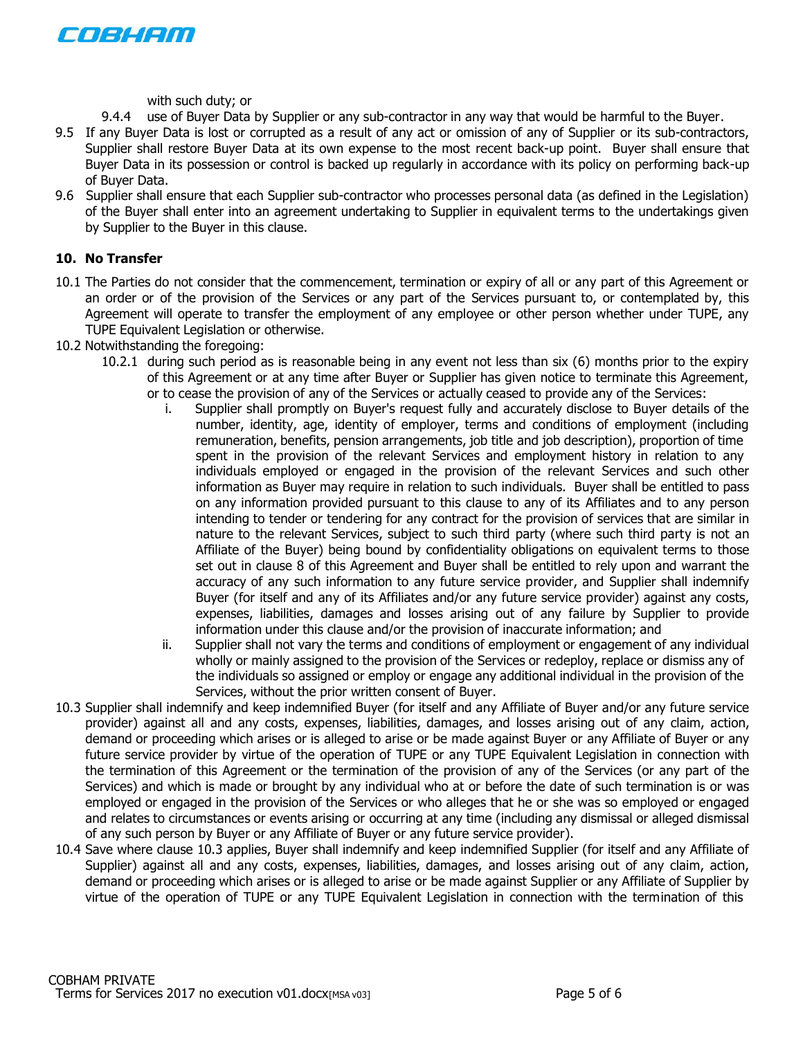

with such duty; or

- 9.4.4 use of Buyer Data by Supplier or any sub-contractor in any way that would be harmful to the Buyer.
- 9.5 If any Buyer Data is lost or corrupted as a result of any act or omission of any of Supplier or its sub-contractors, Supplier shall restore Buyer Data at its own expense to the most recent back-up point. Buyer shall ensure that Buyer Data in its possession or control is backed up regularly in accordance with its policy on performing back-up of Buyer Data.
- 9.6 Supplier shall ensure that each Supplier sub-contractor who processes personal data (as defined in the Legislation) of the Buyer shall enter into an agreement undertaking to Supplier in equivalent terms to the undertakings given by Supplier to the Buyer in this clause.

#### **10. No Transfer**

- 10.1 The Parties do not consider that the commencement, termination or expiry of all or any part of this Agreement or an order or of the provision of the Services or any part of the Services pursuant to, or contemplated by, this Agreement will operate to transfer the employment of any employee or other person whether under TUPE, any TUPE Equivalent Legislation or otherwise.
- 10.2 Notwithstanding the foregoing:
	- 10.2.1 during such period as is reasonable being in any event not less than six (6) months prior to the expiry of this Agreement or at any time after Buyer or Supplier has given notice to terminate this Agreement, or to cease the provision of any of the Services or actually ceased to provide any of the Services:
		- i. Supplier shall promptly on Buyer's request fully and accurately disclose to Buyer details of the number, identity, age, identity of employer, terms and conditions of employment (including remuneration, benefits, pension arrangements, job title and job description), proportion of time spent in the provision of the relevant Services and employment history in relation to any individuals employed or engaged in the provision of the relevant Services and such other information as Buyer may require in relation to such individuals. Buyer shall be entitled to pass on any information provided pursuant to this clause to any of its Affiliates and to any person intending to tender or tendering for any contract for the provision of services that are similar in nature to the relevant Services, subject to such third party (where such third party is not an Affiliate of the Buyer) being bound by confidentiality obligations on equivalent terms to those set out in clause 8 of this Agreement and Buyer shall be entitled to rely upon and warrant the accuracy of any such information to any future service provider, and Supplier shall indemnify Buyer (for itself and any of its Affiliates and/or any future service provider) against any costs, expenses, liabilities, damages and losses arising out of any failure by Supplier to provide information under this clause and/or the provision of inaccurate information; and
		- ii. Supplier shall not vary the terms and conditions of employment or engagement of any individual wholly or mainly assigned to the provision of the Services or redeploy, replace or dismiss any of the individuals so assigned or employ or engage any additional individual in the provision of the Services, without the prior written consent of Buyer.
- 10.3 Supplier shall indemnify and keep indemnified Buyer (for itself and any Affiliate of Buyer and/or any future service provider) against all and any costs, expenses, liabilities, damages, and losses arising out of any claim, action, demand or proceeding which arises or is alleged to arise or be made against Buyer or any Affiliate of Buyer or any future service provider by virtue of the operation of TUPE or any TUPE Equivalent Legislation in connection with the termination of this Agreement or the termination of the provision of any of the Services (or any part of the Services) and which is made or brought by any individual who at or before the date of such termination is or was employed or engaged in the provision of the Services or who alleges that he or she was so employed or engaged and relates to circumstances or events arising or occurring at any time (including any dismissal or alleged dismissal of any such person by Buyer or any Affiliate of Buyer or any future service provider).
- 10.4 Save where clause 10.3 applies, Buyer shall indemnify and keep indemnified Supplier (for itself and any Affiliate of Supplier) against all and any costs, expenses, liabilities, damages, and losses arising out of any claim, action, demand or proceeding which arises or is alleged to arise or be made against Supplier or any Affiliate of Supplier by virtue of the operation of TUPE or any TUPE Equivalent Legislation in connection with the termination of this